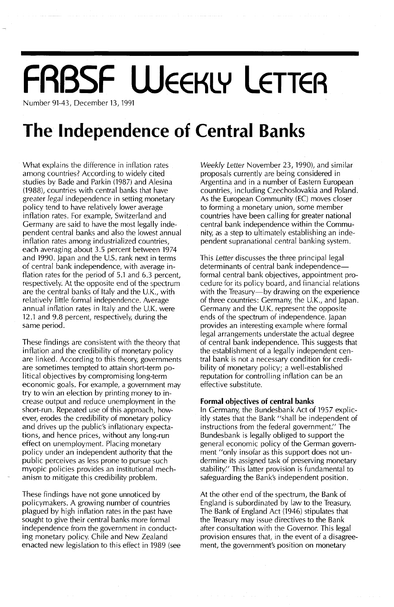## **FRBSF WEEKLY LETTER**

Number 91-43, December 13, 1991

### **The Independence of Central Banks**

What explains the difference in inflation rates among countries? According to widely cited studies by Bade and Parkin (1987) and Alesina (1988), countries with central banks that have greater legal independence in setting monetary policy tend to have relatively lower average inflation rates. For example, Switzerland and Germany are said to have the most legally independent central banks and also the lowest annual inflation rates among industrialized countries, each averaging about 3.5 percent between 1974 and 1990. Japan and the U.S. rank next in terms of central bank independence, with average inflation rates for the period of 5.1 and 6.3 percent, respectively. At the opposite end of the spectrum are the central banks of Italy and the U.K., with relatively little formal independence. Average annual inflation rates in Italy and the U.K. were 12.1 and 9.8 percent, respectively, during the same period.

These findings are consistent with the theory that inflation and the credibility of monetary policy are linked. According to this theory, governments are sometimes tempted to attain short-term political objectives by compromising long-term economic goals. For example, a government may try to win an election by printing money to increase output and reduce unemployment in the short-run. Repeated use of this approach, however, erodes the credibility of monetary policy and drives up the public's inflationary expectations, and hence prices, without any long-run effect on unemployment. Placing monetary policy under an independent authority that the public perceives as less prone to pursue such myopic policies provides an institutional mechanism to mitigate this credibility problem.

These findings have not gone unnoticed by policymakers. A growing number of countries plagued by high inflation rates in the past have sought to give their central banks more formal independence from the government in conducting monetary policy. Chile and New Zealand enacted new legislation to this effect in 1989 (see Weekly Letter November 23, 1990), and similar proposals currently are being considered in Argentina and in a number of Eastern European countries, including Czechoslovakia and Poland. As the European Community (EC) moves closer to forming a monetary union, some member countries have been calling for greater national central bank independence within the Community, as a step to ultimately establishing an independent supranational central banking system.

This Letter discusses the three principal legal determinants of central bank independenceformal central bank objectives, appointment pro**cedure for its policy board, and financial relations** with the Treasury-by drawing on the experience of three countries: Germany, the U.K., and Japan. Germany and the U.K. represent the opposite ends of the spectrum of independence. Japan provides an interesting example where formal legal arrangements understate the actual degree of central bank independence. This suggests that the establishment of a legally independent central bank is not a necessary condition for credibility of monetary policy; a well-established reputation for controlling inflation can be an effective substitute.

#### **Formal objectives of central banks**

In Germany, the Bundesbank Act of 1957 explicitly states that the Bank "shall be independent of instructions from the federal government." The Bundesbank is legally obliged to support the general economic policy of the German government "only insofar as this support does not undermine its assigned task of preserving monetary stability." This latter provision is fundamental to safeguarding the Bank's independent position.

At the other end of the spectrum, the Bank of England is subordinated by law to the Treasury. The Bank of England Act (1946) stipulates that the Treasury may issue directives to the Bank after consultation with the Governor. This legal provision ensures that, in the event of a disagreement, the government's position on monetary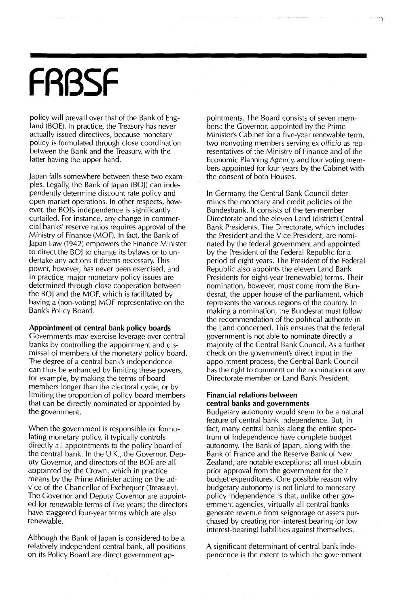# **FRBSF**

policy will prevail over that of the Bank of England (BOE). In practice, the Treasury has never actually issued directives, because monetary policy is formulated through close coordination between the Bank and the Treasury, with the latter having the upper hand.

japan falls somewhere between these two examples. Legally, the Bank of japan (BOj) can independently determine discount rate policy and open market operations. In other respects, however, the BOj's independence is significantly curtailed. For instance, any change in commercial banks' reserve ratios requires approval of the Ministry of Finance (MOF). In fact, the Bank of japan Law (1942) empowers the Finance Minister to direct the BOJ to change its bylaws or to undertake any actions it deems necessary. This power, however, has never been exercised, and in practice, major monetary policy issues are determined through close cooperation between the BOj and the MOF, which is facilitated by having a (non-voting) MOF representative on the Bank's Policy Board.

**Appointment of central bank policy boards**

Governments may exercise leverage over central banks by controlling the appointment and dismissal of members of the monetary policy board. The degree of a central bank's independence can thus be enhanced by limiting these powers, for example, by making the terms of board members longer than the electoral cycle, or by limiting the proportion of policy board members that can be directly nominated or appointed by the government.

When the government is responsible for formulating monetary policy, it typically controls directly all appointments to the policy board of the central bank. In the U.K., the Governor, Deputy Governor, and directors of the BOE are all appointed by the Crown, which in practice means by the Prime Minister acting on the advice of the Chancellor of Exchequer (Treasury). The Governor and Deputy Governor are appointed for renewable terms of five years; the directors have staggered four-year terms which are also renewable.

Although the Bank of japan is considered to be a relatively independent central bank, all positions on its Policy Board are direct government appointments. The Board consists of seven members: the Governor, appointed by the Prime Minister's Cabinet for a five-year renewable term, two nonvoting members serving ex officio as representatives of the Ministry of Finance and of the Economic Planning Agency, and four voting members appointed for four years by the Cabinet with the consent of both Houses.

In Germany, the Central Bank Council determines the monetary and credit policies of the Bundesbank. It consists of the ten-member Directorate and the eleven Land (district) Central Bank Presidents. The Directorate, which includes the President and the Vice President, are nominated by the federal government and appointed by the President of the Federal Republic for a period of eight years. The President of the Federal Republic also appoints the eleven Land Bank Presidents for eight-year (renewable) terms. Their nomination, however, must come from the Bundesrat, the upper house of the parliament, which represents the various regions of the country. In making a nomination, the Bundesrat must follow the recommendation of the political authority in the Land concerned. This ensures that the federal government is not able to nominate directly a majority of the Central Bank Council. As a further check on the government's direct input in the appointment process, the Central Bank Council has the right to comment on the nomination of any Directorate member or Land Bank President.

#### **Financial relations between central banks and governments**

Budgetary autonomy would seem to be a natural feature of central bank independence. But, in fact, many central banks along the entire spectrum of independence have complete budget autonomy. The Bank of japan, along with the Bank of France and the Reserve Bank of New Zealand, are notable exceptions; all must obtain prior approval from the government for their budget expenditures. One possible reason why budgetary autonomy is not linked to monetary policy independence is that, unlike other government agencies, virtually all central banks generate revenue from seignorage or assets purchased by creating non-interest bearing (or low interest-bearing) liabilities against themselves.

A significant determinant of central bank independence is the extent to which the government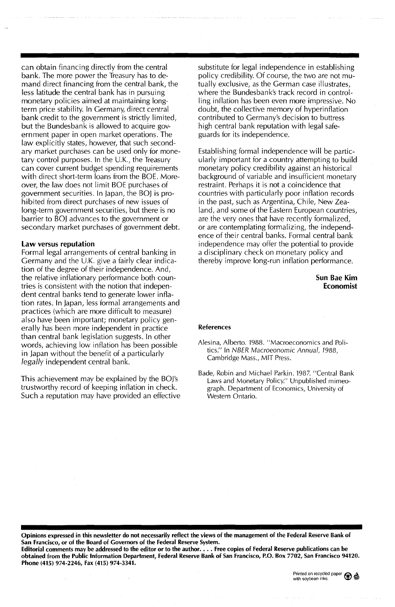can obtain financing directly from the central bank. The more power the Treasury has to demand direct financing from the central bank, the less latitude the central bank has in pursuing monetary policies aimed at maintaining longterm price stability. In Germany, direct central bank credit to the government is strictly limited, but the Bundesbank is allowed to acquire government paper in open market operations. The law explicitly states, however, that such secondary market purchases can be used only for monetary control purposes. In the U.K., the Treasury can cover current budget spending requirements with direct short-term loans from the BOE. Moreover, the law does not limit BOE purchases of government securities. In japan, the BOj is prohibited from direct purchases of new issues of long-term government securities, but there is no barrier to BOI advances to the government or secondary market purchases of government debt.

#### law versus reputation

Formal legal arrangements of central banking in Germany and the U.K. give a fairly clear indication of the degree of their independence. And, the relative inflationary performance both countries is consistent with the notion that independent central banks tend to generate lower inflation rates. In japan, less formal arrangements and practices (which are more difficult to measure) also have been important; monetary policy generally has been more independent in practice than central bank legislation suggests. In other words, achieving low inflation has been possible in Japan without the benefit of a particularly *legally* independent central bank.

This achievement may be explained by the BOl's trustworthy record of keeping inflation in check. Such a reputation may have provided an effective substitute for legal independence in establishing policy credibility. Of course, the two are not mutually exclusive, as the German case illustrates, where the Bundesbank's track record in controlling inflation has been even more impressive. No doubt, the collective memory of hyperinflation contributed to Germany's decision to buttress high central bank reputation with legal safeguards for its independence.

Establishing formal independence will be particularly important for a country attempting to build monetary policy credibility against an historical background of variable and insufficient monetary restraint. Perhaps it is not a coincidence that countries with particularly poor inflation records in the past, such as Argentina, Chile, New Zealand, and some of the Eastern European countries, are the very ones that have recently formalized, or are contemplating formalizing, the independence of their central banks. Formal central bank independence may offer the potential to provide a disciplinary check on monetary policy and thereby improve long-run inflation performance.

> Sun Rae Kim **Economist**

#### References

Alesina, Alberto. 1988. "Macroeconomics and Politics." In NBER Macroeonomic Annual, 1988, Cambridge Mass., MIT Press.

Bade, Robin and Michael Parkin. 1987. "Central Bank Laws and Monetary Policy." Unpublished mimeograph. Department of Economics, University of Western Ontario.

Opinions expressed in this newsletter do not necessarily refied the views of the management of the Federal Reserve Bank of San Francisco, or of the Board of Governors of the Federal Reserve System.

Editorial comments may be addressed to the editor or to the author.... Free copies of Federal Reserve publications can be obtained from the Public Information Department, Federal Reserve Bank of San Francisco, P.O. Box 7702, San Francisco 94120. Phone (415) 974-2246, Fax (415) 974-3341.